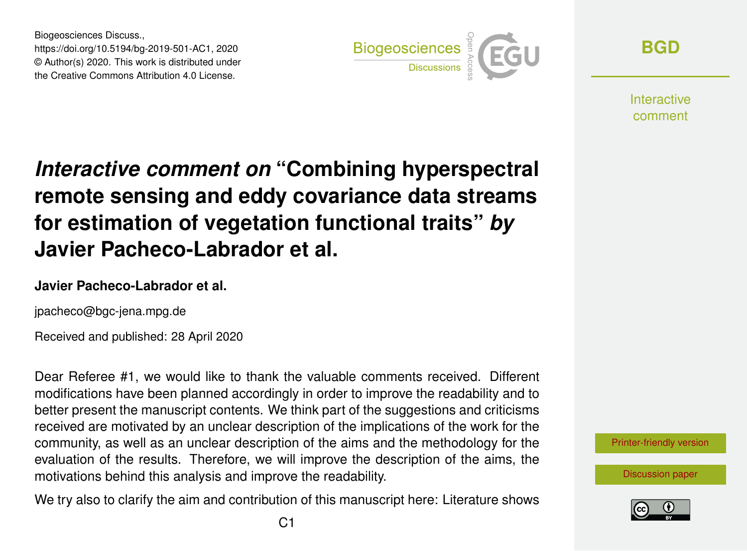Biogeosciences Discuss., https://doi.org/10.5194/bg-2019-501-AC1, 2020 © Author(s) 2020. This work is distributed under the Creative Commons Attribution 4.0 License.



**[BGD](https://www.biogeosciences-discuss.net/)**

**Interactive** comment

# *Interactive comment on* **"Combining hyperspectral remote sensing and eddy covariance data streams for estimation of vegetation functional traits"** *by* **Javier Pacheco-Labrador et al.**

#### **Javier Pacheco-Labrador et al.**

jpacheco@bgc-jena.mpg.de

Received and published: 28 April 2020

Dear Referee #1, we would like to thank the valuable comments received. Different modifications have been planned accordingly in order to improve the readability and to better present the manuscript contents. We think part of the suggestions and criticisms received are motivated by an unclear description of the implications of the work for the community, as well as an unclear description of the aims and the methodology for the evaluation of the results. Therefore, we will improve the description of the aims, the motivations behind this analysis and improve the readability.

We try also to clarify the aim and contribution of this manuscript here: Literature shows



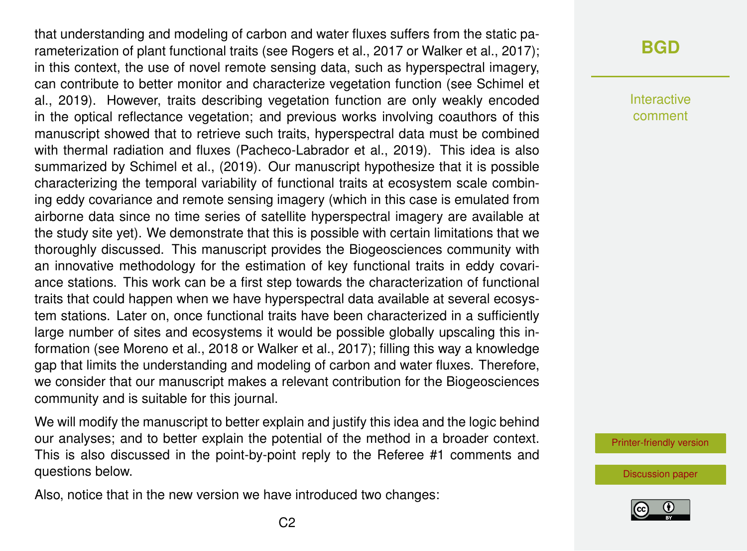that understanding and modeling of carbon and water fluxes suffers from the static parameterization of plant functional traits (see Rogers et al., 2017 or Walker et al., 2017); in this context, the use of novel remote sensing data, such as hyperspectral imagery, can contribute to better monitor and characterize vegetation function (see Schimel et al., 2019). However, traits describing vegetation function are only weakly encoded in the optical reflectance vegetation; and previous works involving coauthors of this manuscript showed that to retrieve such traits, hyperspectral data must be combined with thermal radiation and fluxes (Pacheco-Labrador et al., 2019). This idea is also summarized by Schimel et al., (2019). Our manuscript hypothesize that it is possible characterizing the temporal variability of functional traits at ecosystem scale combining eddy covariance and remote sensing imagery (which in this case is emulated from airborne data since no time series of satellite hyperspectral imagery are available at the study site yet). We demonstrate that this is possible with certain limitations that we thoroughly discussed. This manuscript provides the Biogeosciences community with an innovative methodology for the estimation of key functional traits in eddy covariance stations. This work can be a first step towards the characterization of functional traits that could happen when we have hyperspectral data available at several ecosystem stations. Later on, once functional traits have been characterized in a sufficiently large number of sites and ecosystems it would be possible globally upscaling this information (see Moreno et al., 2018 or Walker et al., 2017); filling this way a knowledge gap that limits the understanding and modeling of carbon and water fluxes. Therefore, we consider that our manuscript makes a relevant contribution for the Biogeosciences community and is suitable for this journal.

We will modify the manuscript to better explain and justify this idea and the logic behind our analyses; and to better explain the potential of the method in a broader context. This is also discussed in the point-by-point reply to the Referee #1 comments and questions below.

Also, notice that in the new version we have introduced two changes:

# **[BGD](https://www.biogeosciences-discuss.net/)**

Interactive comment

[Printer-friendly version](https://www.biogeosciences-discuss.net/bg-2019-501/bg-2019-501-AC1-print.pdf)

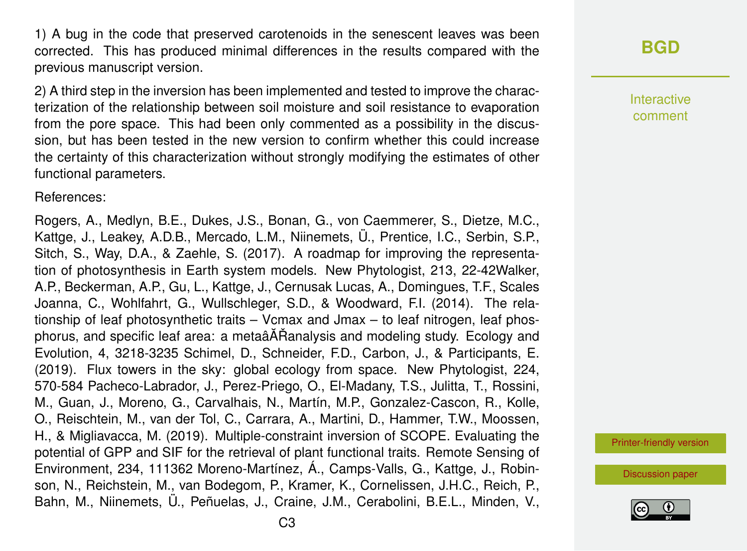1) A bug in the code that preserved carotenoids in the senescent leaves was been corrected. This has produced minimal differences in the results compared with the previous manuscript version.

2) A third step in the inversion has been implemented and tested to improve the characterization of the relationship between soil moisture and soil resistance to evaporation from the pore space. This had been only commented as a possibility in the discussion, but has been tested in the new version to confirm whether this could increase the certainty of this characterization without strongly modifying the estimates of other functional parameters.

References:

Rogers, A., Medlyn, B.E., Dukes, J.S., Bonan, G., von Caemmerer, S., Dietze, M.C., Kattge, J., Leakey, A.D.B., Mercado, L.M., Niinemets, Ü., Prentice, I.C., Serbin, S.P., Sitch, S., Way, D.A., & Zaehle, S. (2017). A roadmap for improving the representation of photosynthesis in Earth system models. New Phytologist, 213, 22-42Walker, A.P., Beckerman, A.P., Gu, L., Kattge, J., Cernusak Lucas, A., Domingues, T.F., Scales Joanna, C., Wohlfahrt, G., Wullschleger, S.D., & Woodward, F.I. (2014). The relationship of leaf photosynthetic traits – Vcmax and Jmax – to leaf nitrogen, leaf phosphorus, and specific leaf area: a metaâĂŘanalysis and modeling study. Ecology and Evolution, 4, 3218-3235 Schimel, D., Schneider, F.D., Carbon, J., & Participants, E. (2019). Flux towers in the sky: global ecology from space. New Phytologist, 224, 570-584 Pacheco-Labrador, J., Perez-Priego, O., El-Madany, T.S., Julitta, T., Rossini, M., Guan, J., Moreno, G., Carvalhais, N., Martín, M.P., Gonzalez-Cascon, R., Kolle, O., Reischtein, M., van der Tol, C., Carrara, A., Martini, D., Hammer, T.W., Moossen, H., & Migliavacca, M. (2019). Multiple-constraint inversion of SCOPE. Evaluating the potential of GPP and SIF for the retrieval of plant functional traits. Remote Sensing of Environment, 234, 111362 Moreno-Martínez, Á., Camps-Valls, G., Kattge, J., Robinson, N., Reichstein, M., van Bodegom, P., Kramer, K., Cornelissen, J.H.C., Reich, P., Bahn, M., Niinemets, Ü., Peñuelas, J., Craine, J.M., Cerabolini, B.E.L., Minden, V., **[BGD](https://www.biogeosciences-discuss.net/)**

Interactive comment

[Printer-friendly version](https://www.biogeosciences-discuss.net/bg-2019-501/bg-2019-501-AC1-print.pdf)

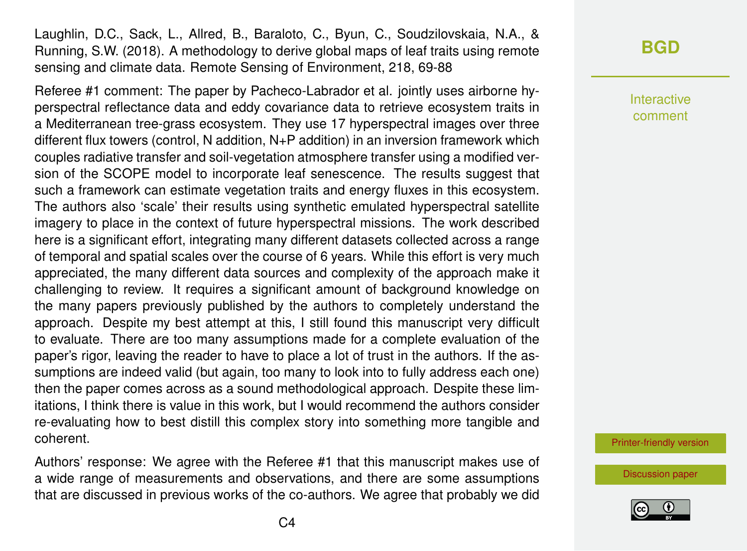Laughlin, D.C., Sack, L., Allred, B., Baraloto, C., Byun, C., Soudzilovskaia, N.A., & Running, S.W. (2018). A methodology to derive global maps of leaf traits using remote sensing and climate data. Remote Sensing of Environment, 218, 69-88

Referee #1 comment: The paper by Pacheco-Labrador et al. jointly uses airborne hyperspectral reflectance data and eddy covariance data to retrieve ecosystem traits in a Mediterranean tree-grass ecosystem. They use 17 hyperspectral images over three different flux towers (control, N addition, N+P addition) in an inversion framework which couples radiative transfer and soil-vegetation atmosphere transfer using a modified version of the SCOPE model to incorporate leaf senescence. The results suggest that such a framework can estimate vegetation traits and energy fluxes in this ecosystem. The authors also 'scale' their results using synthetic emulated hyperspectral satellite imagery to place in the context of future hyperspectral missions. The work described here is a significant effort, integrating many different datasets collected across a range of temporal and spatial scales over the course of 6 years. While this effort is very much appreciated, the many different data sources and complexity of the approach make it challenging to review. It requires a significant amount of background knowledge on the many papers previously published by the authors to completely understand the approach. Despite my best attempt at this, I still found this manuscript very difficult to evaluate. There are too many assumptions made for a complete evaluation of the paper's rigor, leaving the reader to have to place a lot of trust in the authors. If the assumptions are indeed valid (but again, too many to look into to fully address each one) then the paper comes across as a sound methodological approach. Despite these limitations, I think there is value in this work, but I would recommend the authors consider re-evaluating how to best distill this complex story into something more tangible and coherent.

Authors' response: We agree with the Referee #1 that this manuscript makes use of a wide range of measurements and observations, and there are some assumptions that are discussed in previous works of the co-authors. We agree that probably we did

**[BGD](https://www.biogeosciences-discuss.net/)**

Interactive comment

[Printer-friendly version](https://www.biogeosciences-discuss.net/bg-2019-501/bg-2019-501-AC1-print.pdf)

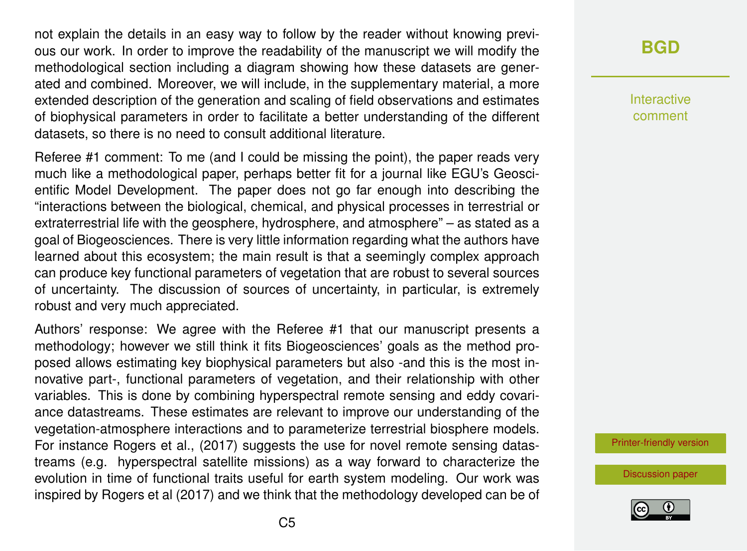not explain the details in an easy way to follow by the reader without knowing previous our work. In order to improve the readability of the manuscript we will modify the methodological section including a diagram showing how these datasets are generated and combined. Moreover, we will include, in the supplementary material, a more extended description of the generation and scaling of field observations and estimates of biophysical parameters in order to facilitate a better understanding of the different datasets, so there is no need to consult additional literature.

Referee #1 comment: To me (and I could be missing the point), the paper reads very much like a methodological paper, perhaps better fit for a journal like EGU's Geoscientific Model Development. The paper does not go far enough into describing the "interactions between the biological, chemical, and physical processes in terrestrial or extraterrestrial life with the geosphere, hydrosphere, and atmosphere" – as stated as a goal of Biogeosciences. There is very little information regarding what the authors have learned about this ecosystem; the main result is that a seemingly complex approach can produce key functional parameters of vegetation that are robust to several sources of uncertainty. The discussion of sources of uncertainty, in particular, is extremely robust and very much appreciated.

Authors' response: We agree with the Referee #1 that our manuscript presents a methodology; however we still think it fits Biogeosciences' goals as the method proposed allows estimating key biophysical parameters but also -and this is the most innovative part-, functional parameters of vegetation, and their relationship with other variables. This is done by combining hyperspectral remote sensing and eddy covariance datastreams. These estimates are relevant to improve our understanding of the vegetation-atmosphere interactions and to parameterize terrestrial biosphere models. For instance Rogers et al., (2017) suggests the use for novel remote sensing datastreams (e.g. hyperspectral satellite missions) as a way forward to characterize the evolution in time of functional traits useful for earth system modeling. Our work was inspired by Rogers et al (2017) and we think that the methodology developed can be of

# **[BGD](https://www.biogeosciences-discuss.net/)**

Interactive comment

[Printer-friendly version](https://www.biogeosciences-discuss.net/bg-2019-501/bg-2019-501-AC1-print.pdf)

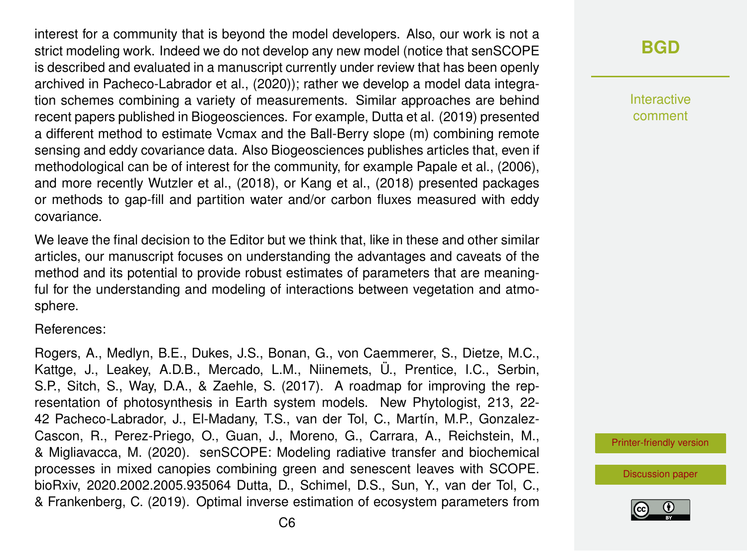interest for a community that is beyond the model developers. Also, our work is not a strict modeling work. Indeed we do not develop any new model (notice that senSCOPE is described and evaluated in a manuscript currently under review that has been openly archived in Pacheco-Labrador et al., (2020)); rather we develop a model data integration schemes combining a variety of measurements. Similar approaches are behind recent papers published in Biogeosciences. For example, Dutta et al. (2019) presented a different method to estimate Vcmax and the Ball-Berry slope (m) combining remote sensing and eddy covariance data. Also Biogeosciences publishes articles that, even if methodological can be of interest for the community, for example Papale et al., (2006), and more recently Wutzler et al., (2018), or Kang et al., (2018) presented packages or methods to gap-fill and partition water and/or carbon fluxes measured with eddy covariance.

We leave the final decision to the Editor but we think that, like in these and other similar articles, our manuscript focuses on understanding the advantages and caveats of the method and its potential to provide robust estimates of parameters that are meaningful for the understanding and modeling of interactions between vegetation and atmosphere.

References:

Rogers, A., Medlyn, B.E., Dukes, J.S., Bonan, G., von Caemmerer, S., Dietze, M.C., Kattge, J., Leakey, A.D.B., Mercado, L.M., Niinemets, Ü., Prentice, I.C., Serbin, S.P., Sitch, S., Way, D.A., & Zaehle, S. (2017). A roadmap for improving the representation of photosynthesis in Earth system models. New Phytologist, 213, 22- 42 Pacheco-Labrador, J., El-Madany, T.S., van der Tol, C., Martín, M.P., Gonzalez-Cascon, R., Perez-Priego, O., Guan, J., Moreno, G., Carrara, A., Reichstein, M., & Migliavacca, M. (2020). senSCOPE: Modeling radiative transfer and biochemical processes in mixed canopies combining green and senescent leaves with SCOPE. bioRxiv, 2020.2002.2005.935064 Dutta, D., Schimel, D.S., Sun, Y., van der Tol, C., & Frankenberg, C. (2019). Optimal inverse estimation of ecosystem parameters from **[BGD](https://www.biogeosciences-discuss.net/)**

Interactive comment

[Printer-friendly version](https://www.biogeosciences-discuss.net/bg-2019-501/bg-2019-501-AC1-print.pdf)

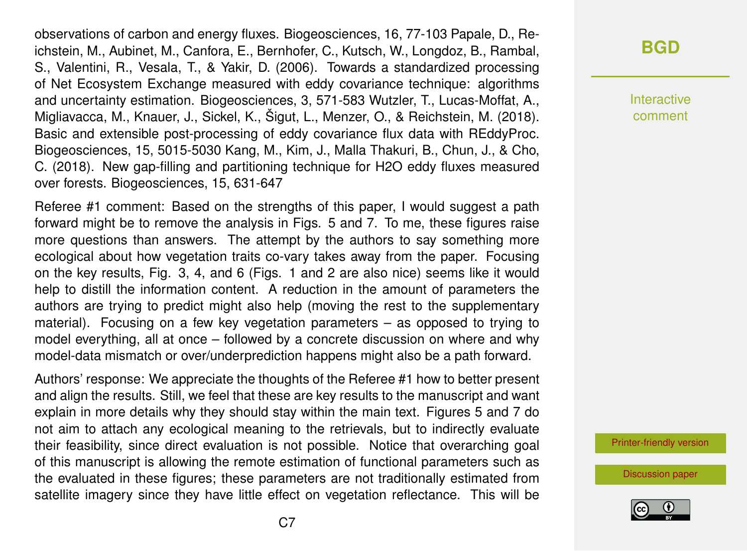observations of carbon and energy fluxes. Biogeosciences, 16, 77-103 Papale, D., Reichstein, M., Aubinet, M., Canfora, E., Bernhofer, C., Kutsch, W., Longdoz, B., Rambal, S., Valentini, R., Vesala, T., & Yakir, D. (2006). Towards a standardized processing of Net Ecosystem Exchange measured with eddy covariance technique: algorithms and uncertainty estimation. Biogeosciences, 3, 571-583 Wutzler, T., Lucas-Moffat, A., Migliavacca, M., Knauer, J., Sickel, K., Šigut, L., Menzer, O., & Reichstein, M. (2018). Basic and extensible post-processing of eddy covariance flux data with REddyProc. Biogeosciences, 15, 5015-5030 Kang, M., Kim, J., Malla Thakuri, B., Chun, J., & Cho, C. (2018). New gap-filling and partitioning technique for H2O eddy fluxes measured over forests. Biogeosciences, 15, 631-647

Referee #1 comment: Based on the strengths of this paper, I would suggest a path forward might be to remove the analysis in Figs. 5 and 7. To me, these figures raise more questions than answers. The attempt by the authors to say something more ecological about how vegetation traits co-vary takes away from the paper. Focusing on the key results, Fig. 3, 4, and 6 (Figs. 1 and 2 are also nice) seems like it would help to distill the information content. A reduction in the amount of parameters the authors are trying to predict might also help (moving the rest to the supplementary material). Focusing on a few key vegetation parameters – as opposed to trying to model everything, all at once – followed by a concrete discussion on where and why model-data mismatch or over/underprediction happens might also be a path forward.

Authors' response: We appreciate the thoughts of the Referee #1 how to better present and align the results. Still, we feel that these are key results to the manuscript and want explain in more details why they should stay within the main text. Figures 5 and 7 do not aim to attach any ecological meaning to the retrievals, but to indirectly evaluate their feasibility, since direct evaluation is not possible. Notice that overarching goal of this manuscript is allowing the remote estimation of functional parameters such as the evaluated in these figures; these parameters are not traditionally estimated from satellite imagery since they have little effect on vegetation reflectance. This will be

Interactive comment

[Printer-friendly version](https://www.biogeosciences-discuss.net/bg-2019-501/bg-2019-501-AC1-print.pdf)

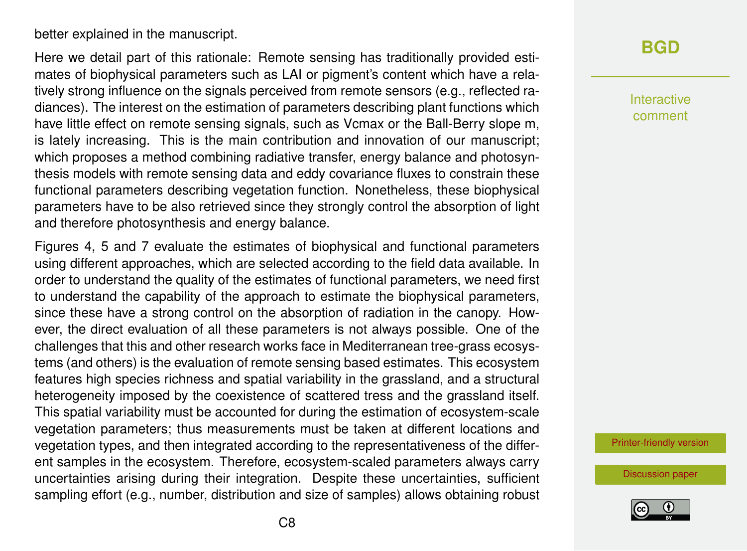better explained in the manuscript.

Here we detail part of this rationale: Remote sensing has traditionally provided estimates of biophysical parameters such as LAI or pigment's content which have a relatively strong influence on the signals perceived from remote sensors (e.g., reflected radiances). The interest on the estimation of parameters describing plant functions which have little effect on remote sensing signals, such as Vcmax or the Ball-Berry slope m, is lately increasing. This is the main contribution and innovation of our manuscript; which proposes a method combining radiative transfer, energy balance and photosynthesis models with remote sensing data and eddy covariance fluxes to constrain these functional parameters describing vegetation function. Nonetheless, these biophysical parameters have to be also retrieved since they strongly control the absorption of light and therefore photosynthesis and energy balance.

Figures 4, 5 and 7 evaluate the estimates of biophysical and functional parameters using different approaches, which are selected according to the field data available. In order to understand the quality of the estimates of functional parameters, we need first to understand the capability of the approach to estimate the biophysical parameters, since these have a strong control on the absorption of radiation in the canopy. However, the direct evaluation of all these parameters is not always possible. One of the challenges that this and other research works face in Mediterranean tree-grass ecosystems (and others) is the evaluation of remote sensing based estimates. This ecosystem features high species richness and spatial variability in the grassland, and a structural heterogeneity imposed by the coexistence of scattered tress and the grassland itself. This spatial variability must be accounted for during the estimation of ecosystem-scale vegetation parameters; thus measurements must be taken at different locations and vegetation types, and then integrated according to the representativeness of the different samples in the ecosystem. Therefore, ecosystem-scaled parameters always carry uncertainties arising during their integration. Despite these uncertainties, sufficient sampling effort (e.g., number, distribution and size of samples) allows obtaining robust **[BGD](https://www.biogeosciences-discuss.net/)**

Interactive comment

[Printer-friendly version](https://www.biogeosciences-discuss.net/bg-2019-501/bg-2019-501-AC1-print.pdf)

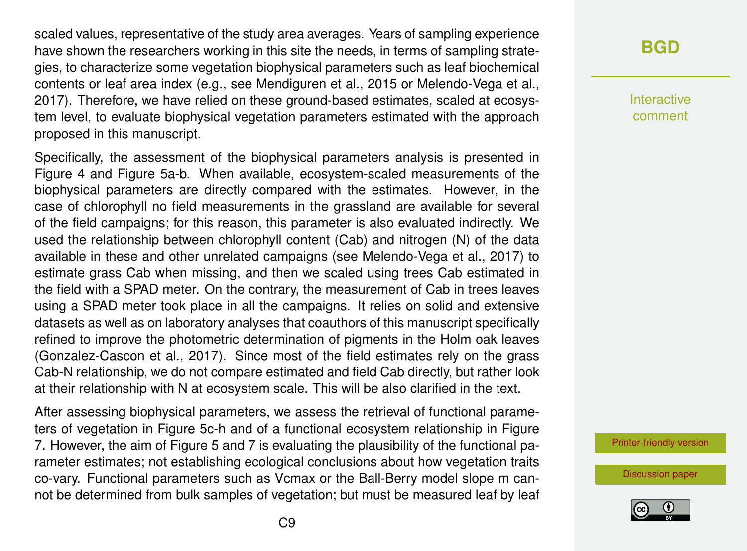scaled values, representative of the study area averages. Years of sampling experience have shown the researchers working in this site the needs, in terms of sampling strategies, to characterize some vegetation biophysical parameters such as leaf biochemical contents or leaf area index (e.g., see Mendiguren et al., 2015 or Melendo-Vega et al., 2017). Therefore, we have relied on these ground-based estimates, scaled at ecosystem level, to evaluate biophysical vegetation parameters estimated with the approach proposed in this manuscript.

Specifically, the assessment of the biophysical parameters analysis is presented in Figure 4 and Figure 5a-b. When available, ecosystem-scaled measurements of the biophysical parameters are directly compared with the estimates. However, in the case of chlorophyll no field measurements in the grassland are available for several of the field campaigns; for this reason, this parameter is also evaluated indirectly. We used the relationship between chlorophyll content (Cab) and nitrogen (N) of the data available in these and other unrelated campaigns (see Melendo-Vega et al., 2017) to estimate grass Cab when missing, and then we scaled using trees Cab estimated in the field with a SPAD meter. On the contrary, the measurement of Cab in trees leaves using a SPAD meter took place in all the campaigns. It relies on solid and extensive datasets as well as on laboratory analyses that coauthors of this manuscript specifically refined to improve the photometric determination of pigments in the Holm oak leaves (Gonzalez-Cascon et al., 2017). Since most of the field estimates rely on the grass Cab-N relationship, we do not compare estimated and field Cab directly, but rather look at their relationship with N at ecosystem scale. This will be also clarified in the text.

After assessing biophysical parameters, we assess the retrieval of functional parameters of vegetation in Figure 5c-h and of a functional ecosystem relationship in Figure 7. However, the aim of Figure 5 and 7 is evaluating the plausibility of the functional parameter estimates; not establishing ecological conclusions about how vegetation traits co-vary. Functional parameters such as Vcmax or the Ball-Berry model slope m cannot be determined from bulk samples of vegetation; but must be measured leaf by leaf

# **[BGD](https://www.biogeosciences-discuss.net/)**

Interactive comment

[Printer-friendly version](https://www.biogeosciences-discuss.net/bg-2019-501/bg-2019-501-AC1-print.pdf)

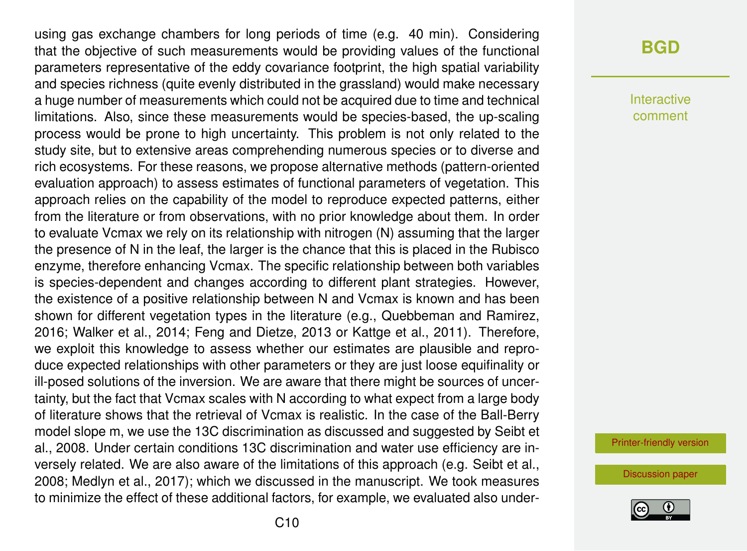using gas exchange chambers for long periods of time (e.g. 40 min). Considering that the objective of such measurements would be providing values of the functional parameters representative of the eddy covariance footprint, the high spatial variability and species richness (quite evenly distributed in the grassland) would make necessary a huge number of measurements which could not be acquired due to time and technical limitations. Also, since these measurements would be species-based, the up-scaling process would be prone to high uncertainty. This problem is not only related to the study site, but to extensive areas comprehending numerous species or to diverse and rich ecosystems. For these reasons, we propose alternative methods (pattern-oriented evaluation approach) to assess estimates of functional parameters of vegetation. This approach relies on the capability of the model to reproduce expected patterns, either from the literature or from observations, with no prior knowledge about them. In order to evaluate Vcmax we rely on its relationship with nitrogen (N) assuming that the larger the presence of N in the leaf, the larger is the chance that this is placed in the Rubisco enzyme, therefore enhancing Vcmax. The specific relationship between both variables is species-dependent and changes according to different plant strategies. However, the existence of a positive relationship between N and Vcmax is known and has been shown for different vegetation types in the literature (e.g., Quebbeman and Ramirez, 2016; Walker et al., 2014; Feng and Dietze, 2013 or Kattge et al., 2011). Therefore, we exploit this knowledge to assess whether our estimates are plausible and reproduce expected relationships with other parameters or they are just loose equifinality or ill-posed solutions of the inversion. We are aware that there might be sources of uncertainty, but the fact that Vcmax scales with N according to what expect from a large body of literature shows that the retrieval of Vcmax is realistic. In the case of the Ball-Berry model slope m, we use the 13C discrimination as discussed and suggested by Seibt et al., 2008. Under certain conditions 13C discrimination and water use efficiency are inversely related. We are also aware of the limitations of this approach (e.g. Seibt et al., 2008; Medlyn et al., 2017); which we discussed in the manuscript. We took measures to minimize the effect of these additional factors, for example, we evaluated also under-

### **[BGD](https://www.biogeosciences-discuss.net/)**

Interactive comment

[Printer-friendly version](https://www.biogeosciences-discuss.net/bg-2019-501/bg-2019-501-AC1-print.pdf)

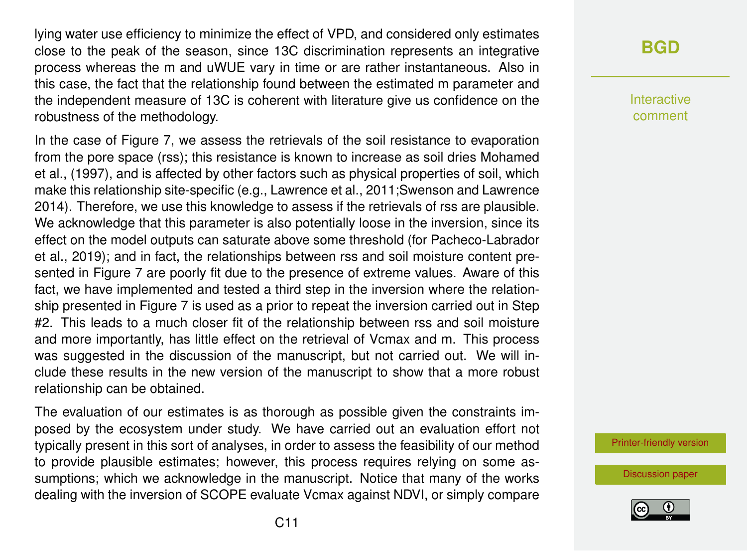lying water use efficiency to minimize the effect of VPD, and considered only estimates close to the peak of the season, since 13C discrimination represents an integrative process whereas the m and uWUE vary in time or are rather instantaneous. Also in this case, the fact that the relationship found between the estimated m parameter and the independent measure of 13C is coherent with literature give us confidence on the robustness of the methodology.

In the case of Figure 7, we assess the retrievals of the soil resistance to evaporation from the pore space (rss); this resistance is known to increase as soil dries Mohamed et al., (1997), and is affected by other factors such as physical properties of soil, which make this relationship site-specific (e.g., Lawrence et al., 2011;Swenson and Lawrence 2014). Therefore, we use this knowledge to assess if the retrievals of rss are plausible. We acknowledge that this parameter is also potentially loose in the inversion, since its effect on the model outputs can saturate above some threshold (for Pacheco-Labrador et al., 2019); and in fact, the relationships between rss and soil moisture content presented in Figure 7 are poorly fit due to the presence of extreme values. Aware of this fact, we have implemented and tested a third step in the inversion where the relationship presented in Figure 7 is used as a prior to repeat the inversion carried out in Step #2. This leads to a much closer fit of the relationship between rss and soil moisture and more importantly, has little effect on the retrieval of Vcmax and m. This process was suggested in the discussion of the manuscript, but not carried out. We will include these results in the new version of the manuscript to show that a more robust relationship can be obtained.

The evaluation of our estimates is as thorough as possible given the constraints imposed by the ecosystem under study. We have carried out an evaluation effort not typically present in this sort of analyses, in order to assess the feasibility of our method to provide plausible estimates; however, this process requires relying on some assumptions; which we acknowledge in the manuscript. Notice that many of the works dealing with the inversion of SCOPE evaluate Vcmax against NDVI, or simply compare

# **[BGD](https://www.biogeosciences-discuss.net/)**

Interactive comment

[Printer-friendly version](https://www.biogeosciences-discuss.net/bg-2019-501/bg-2019-501-AC1-print.pdf)

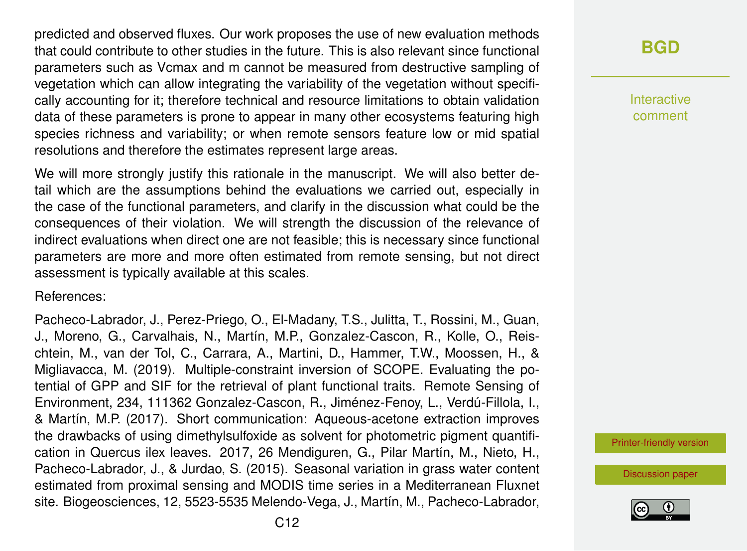predicted and observed fluxes. Our work proposes the use of new evaluation methods that could contribute to other studies in the future. This is also relevant since functional parameters such as Vcmax and m cannot be measured from destructive sampling of vegetation which can allow integrating the variability of the vegetation without specifically accounting for it; therefore technical and resource limitations to obtain validation data of these parameters is prone to appear in many other ecosystems featuring high species richness and variability; or when remote sensors feature low or mid spatial resolutions and therefore the estimates represent large areas.

We will more strongly justify this rationale in the manuscript. We will also better detail which are the assumptions behind the evaluations we carried out, especially in the case of the functional parameters, and clarify in the discussion what could be the consequences of their violation. We will strength the discussion of the relevance of indirect evaluations when direct one are not feasible; this is necessary since functional parameters are more and more often estimated from remote sensing, but not direct assessment is typically available at this scales.

References:

Pacheco-Labrador, J., Perez-Priego, O., El-Madany, T.S., Julitta, T., Rossini, M., Guan, J., Moreno, G., Carvalhais, N., Martín, M.P., Gonzalez-Cascon, R., Kolle, O., Reischtein, M., van der Tol, C., Carrara, A., Martini, D., Hammer, T.W., Moossen, H., & Migliavacca, M. (2019). Multiple-constraint inversion of SCOPE. Evaluating the potential of GPP and SIF for the retrieval of plant functional traits. Remote Sensing of Environment, 234, 111362 Gonzalez-Cascon, R., Jiménez-Fenoy, L., Verdú-Fillola, I., & Martín, M.P. (2017). Short communication: Aqueous-acetone extraction improves the drawbacks of using dimethylsulfoxide as solvent for photometric pigment quantification in Quercus ilex leaves. 2017, 26 Mendiguren, G., Pilar Martín, M., Nieto, H., Pacheco-Labrador, J., & Jurdao, S. (2015). Seasonal variation in grass water content estimated from proximal sensing and MODIS time series in a Mediterranean Fluxnet site. Biogeosciences, 12, 5523-5535 Melendo-Vega, J., Martín, M., Pacheco-Labrador,

**[BGD](https://www.biogeosciences-discuss.net/)**

Interactive comment

[Printer-friendly version](https://www.biogeosciences-discuss.net/bg-2019-501/bg-2019-501-AC1-print.pdf)

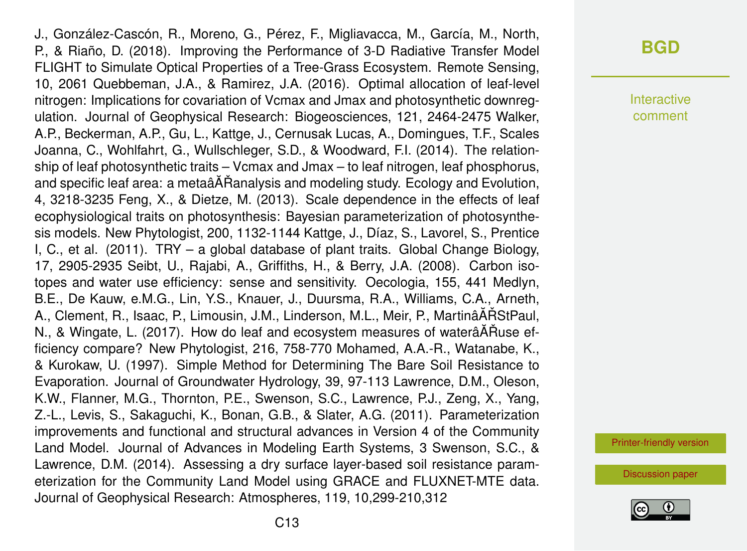J., González-Cascón, R., Moreno, G., Pérez, F., Migliavacca, M., García, M., North, P., & Riaño, D. (2018). Improving the Performance of 3-D Radiative Transfer Model FLIGHT to Simulate Optical Properties of a Tree-Grass Ecosystem. Remote Sensing, 10, 2061 Quebbeman, J.A., & Ramirez, J.A. (2016). Optimal allocation of leaf-level nitrogen: Implications for covariation of Vcmax and Jmax and photosynthetic downregulation. Journal of Geophysical Research: Biogeosciences, 121, 2464-2475 Walker, A.P., Beckerman, A.P., Gu, L., Kattge, J., Cernusak Lucas, A., Domingues, T.F., Scales Joanna, C., Wohlfahrt, G., Wullschleger, S.D., & Woodward, F.I. (2014). The relationship of leaf photosynthetic traits – Vcmax and Jmax – to leaf nitrogen, leaf phosphorus, and specific leaf area: a metaâĂŘanalysis and modeling study. Ecology and Evolution, 4, 3218-3235 Feng, X., & Dietze, M. (2013). Scale dependence in the effects of leaf ecophysiological traits on photosynthesis: Bayesian parameterization of photosynthesis models. New Phytologist, 200, 1132-1144 Kattge, J., Díaz, S., Lavorel, S., Prentice I, C., et al. (2011). TRY – a global database of plant traits. Global Change Biology, 17, 2905-2935 Seibt, U., Rajabi, A., Griffiths, H., & Berry, J.A. (2008). Carbon isotopes and water use efficiency: sense and sensitivity. Oecologia, 155, 441 Medlyn, B.E., De Kauw, e.M.G., Lin, Y.S., Knauer, J., Duursma, R.A., Williams, C.A., Arneth, A., Clement, R., Isaac, P., Limousin, J.M., Linderson, M.L., Meir, P., MartinâĂŘStPaul, N., & Wingate, L. (2017). How do leaf and ecosystem measures of waterâÅÑuse efficiency compare? New Phytologist, 216, 758-770 Mohamed, A.A.-R., Watanabe, K., & Kurokaw, U. (1997). Simple Method for Determining The Bare Soil Resistance to Evaporation. Journal of Groundwater Hydrology, 39, 97-113 Lawrence, D.M., Oleson, K.W., Flanner, M.G., Thornton, P.E., Swenson, S.C., Lawrence, P.J., Zeng, X., Yang, Z.-L., Levis, S., Sakaguchi, K., Bonan, G.B., & Slater, A.G. (2011). Parameterization improvements and functional and structural advances in Version 4 of the Community Land Model. Journal of Advances in Modeling Earth Systems, 3 Swenson, S.C., & Lawrence, D.M. (2014). Assessing a dry surface layer-based soil resistance parameterization for the Community Land Model using GRACE and FLUXNET-MTE data. Journal of Geophysical Research: Atmospheres, 119, 10,299-210,312

#### **[BGD](https://www.biogeosciences-discuss.net/)**

Interactive comment

[Printer-friendly version](https://www.biogeosciences-discuss.net/bg-2019-501/bg-2019-501-AC1-print.pdf)

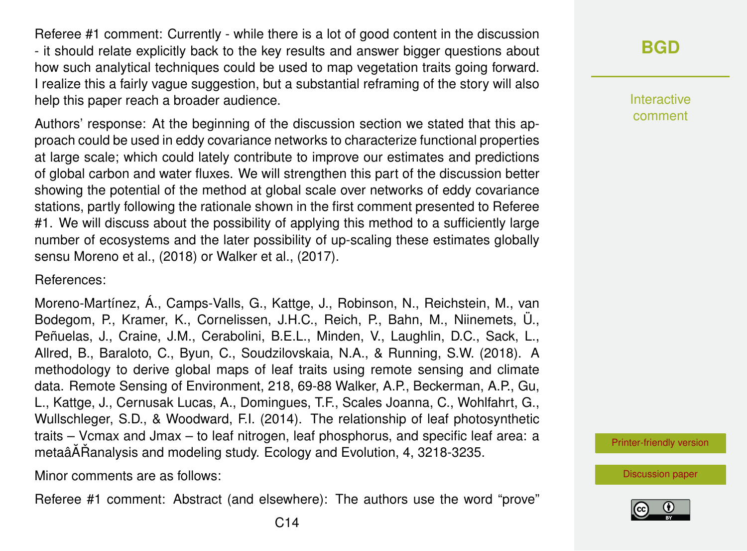Referee #1 comment: Currently - while there is a lot of good content in the discussion - it should relate explicitly back to the key results and answer bigger questions about how such analytical techniques could be used to map vegetation traits going forward. I realize this a fairly vague suggestion, but a substantial reframing of the story will also help this paper reach a broader audience.

Authors' response: At the beginning of the discussion section we stated that this approach could be used in eddy covariance networks to characterize functional properties at large scale; which could lately contribute to improve our estimates and predictions of global carbon and water fluxes. We will strengthen this part of the discussion better showing the potential of the method at global scale over networks of eddy covariance stations, partly following the rationale shown in the first comment presented to Referee #1. We will discuss about the possibility of applying this method to a sufficiently large number of ecosystems and the later possibility of up-scaling these estimates globally sensu Moreno et al., (2018) or Walker et al., (2017).

References:

Moreno-Martínez, Á., Camps-Valls, G., Kattge, J., Robinson, N., Reichstein, M., van Bodegom, P., Kramer, K., Cornelissen, J.H.C., Reich, P., Bahn, M., Niinemets, Ü., Peñuelas, J., Craine, J.M., Cerabolini, B.E.L., Minden, V., Laughlin, D.C., Sack, L., Allred, B., Baraloto, C., Byun, C., Soudzilovskaia, N.A., & Running, S.W. (2018). A methodology to derive global maps of leaf traits using remote sensing and climate data. Remote Sensing of Environment, 218, 69-88 Walker, A.P., Beckerman, A.P., Gu, L., Kattge, J., Cernusak Lucas, A., Domingues, T.F., Scales Joanna, C., Wohlfahrt, G., Wullschleger, S.D., & Woodward, F.I. (2014). The relationship of leaf photosynthetic traits – Vcmax and Jmax – to leaf nitrogen, leaf phosphorus, and specific leaf area: a metaâĂŘanalysis and modeling study. Ecology and Evolution, 4, 3218-3235.

Minor comments are as follows:

Referee #1 comment: Abstract (and elsewhere): The authors use the word "prove"



Interactive comment

[Printer-friendly version](https://www.biogeosciences-discuss.net/bg-2019-501/bg-2019-501-AC1-print.pdf)

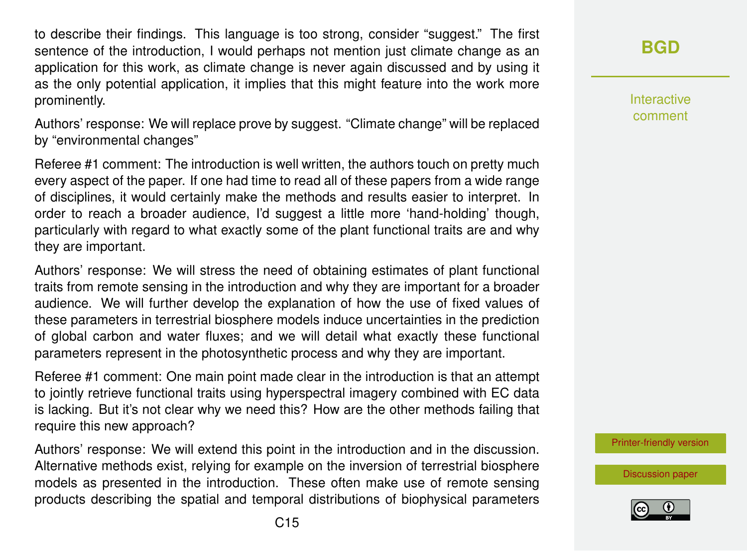to describe their findings. This language is too strong, consider "suggest." The first sentence of the introduction, I would perhaps not mention just climate change as an application for this work, as climate change is never again discussed and by using it as the only potential application, it implies that this might feature into the work more prominently.

Authors' response: We will replace prove by suggest. "Climate change" will be replaced by "environmental changes"

Referee #1 comment: The introduction is well written, the authors touch on pretty much every aspect of the paper. If one had time to read all of these papers from a wide range of disciplines, it would certainly make the methods and results easier to interpret. In order to reach a broader audience, I'd suggest a little more 'hand-holding' though, particularly with regard to what exactly some of the plant functional traits are and why they are important.

Authors' response: We will stress the need of obtaining estimates of plant functional traits from remote sensing in the introduction and why they are important for a broader audience. We will further develop the explanation of how the use of fixed values of these parameters in terrestrial biosphere models induce uncertainties in the prediction of global carbon and water fluxes; and we will detail what exactly these functional parameters represent in the photosynthetic process and why they are important.

Referee #1 comment: One main point made clear in the introduction is that an attempt to jointly retrieve functional traits using hyperspectral imagery combined with EC data is lacking. But it's not clear why we need this? How are the other methods failing that require this new approach?

Authors' response: We will extend this point in the introduction and in the discussion. Alternative methods exist, relying for example on the inversion of terrestrial biosphere models as presented in the introduction. These often make use of remote sensing products describing the spatial and temporal distributions of biophysical parameters **[BGD](https://www.biogeosciences-discuss.net/)**

Interactive comment

[Printer-friendly version](https://www.biogeosciences-discuss.net/bg-2019-501/bg-2019-501-AC1-print.pdf)

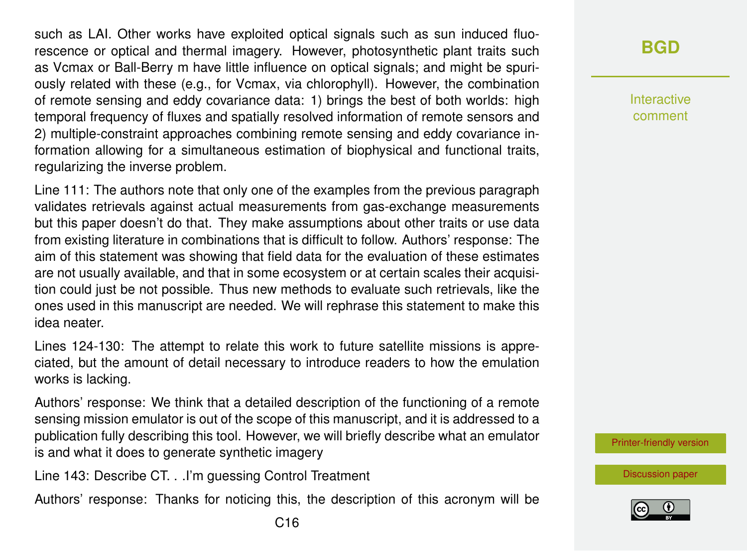such as LAI. Other works have exploited optical signals such as sun induced fluorescence or optical and thermal imagery. However, photosynthetic plant traits such as Vcmax or Ball-Berry m have little influence on optical signals; and might be spuriously related with these (e.g., for Vcmax, via chlorophyll). However, the combination of remote sensing and eddy covariance data: 1) brings the best of both worlds: high temporal frequency of fluxes and spatially resolved information of remote sensors and 2) multiple-constraint approaches combining remote sensing and eddy covariance information allowing for a simultaneous estimation of biophysical and functional traits, regularizing the inverse problem.

Line 111: The authors note that only one of the examples from the previous paragraph validates retrievals against actual measurements from gas-exchange measurements but this paper doesn't do that. They make assumptions about other traits or use data from existing literature in combinations that is difficult to follow. Authors' response: The aim of this statement was showing that field data for the evaluation of these estimates are not usually available, and that in some ecosystem or at certain scales their acquisition could just be not possible. Thus new methods to evaluate such retrievals, like the ones used in this manuscript are needed. We will rephrase this statement to make this idea neater.

Lines 124-130: The attempt to relate this work to future satellite missions is appreciated, but the amount of detail necessary to introduce readers to how the emulation works is lacking.

Authors' response: We think that a detailed description of the functioning of a remote sensing mission emulator is out of the scope of this manuscript, and it is addressed to a publication fully describing this tool. However, we will briefly describe what an emulator is and what it does to generate synthetic imagery

Line 143: Describe CT. . .I'm guessing Control Treatment

Authors' response: Thanks for noticing this, the description of this acronym will be

Interactive comment

[Printer-friendly version](https://www.biogeosciences-discuss.net/bg-2019-501/bg-2019-501-AC1-print.pdf)

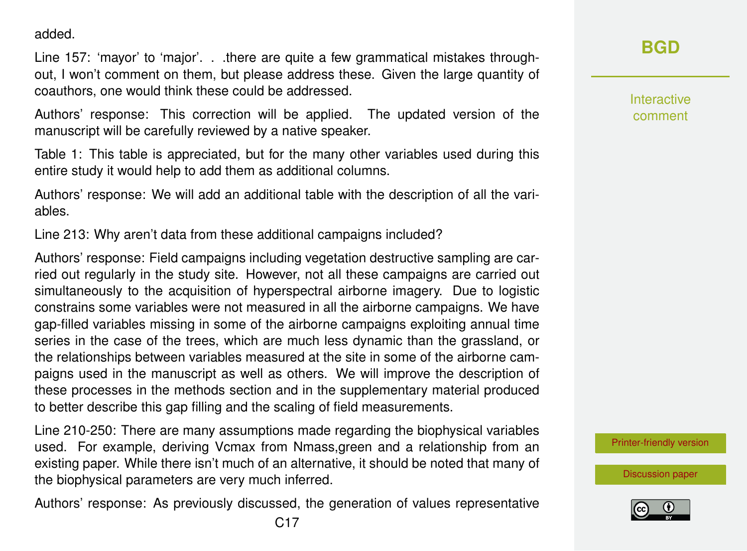added.

Line 157: 'mayor' to 'major'. . .there are quite a few grammatical mistakes throughout, I won't comment on them, but please address these. Given the large quantity of coauthors, one would think these could be addressed.

Authors' response: This correction will be applied. The updated version of the manuscript will be carefully reviewed by a native speaker.

Table 1: This table is appreciated, but for the many other variables used during this entire study it would help to add them as additional columns.

Authors' response: We will add an additional table with the description of all the variables.

Line 213: Why aren't data from these additional campaigns included?

Authors' response: Field campaigns including vegetation destructive sampling are carried out regularly in the study site. However, not all these campaigns are carried out simultaneously to the acquisition of hyperspectral airborne imagery. Due to logistic constrains some variables were not measured in all the airborne campaigns. We have gap-filled variables missing in some of the airborne campaigns exploiting annual time series in the case of the trees, which are much less dynamic than the grassland, or the relationships between variables measured at the site in some of the airborne campaigns used in the manuscript as well as others. We will improve the description of these processes in the methods section and in the supplementary material produced to better describe this gap filling and the scaling of field measurements.

Line 210-250: There are many assumptions made regarding the biophysical variables used. For example, deriving Vcmax from Nmass,green and a relationship from an existing paper. While there isn't much of an alternative, it should be noted that many of the biophysical parameters are very much inferred.

Authors' response: As previously discussed, the generation of values representative

**[BGD](https://www.biogeosciences-discuss.net/)**

Interactive comment

[Printer-friendly version](https://www.biogeosciences-discuss.net/bg-2019-501/bg-2019-501-AC1-print.pdf)

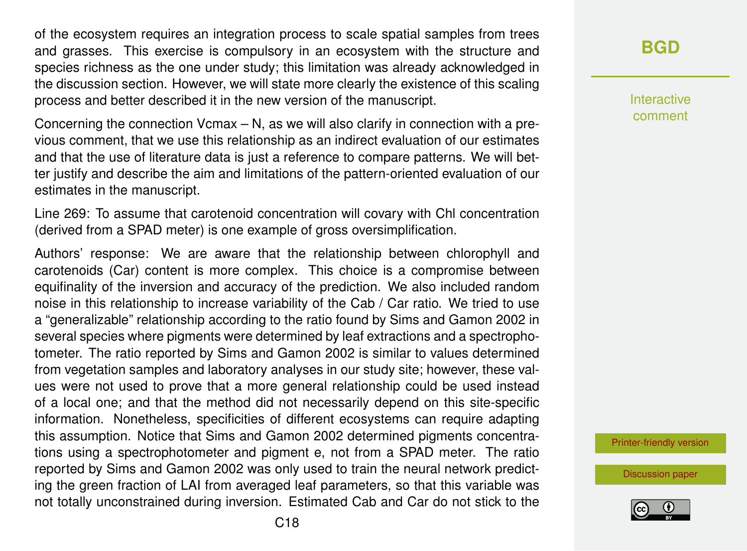of the ecosystem requires an integration process to scale spatial samples from trees and grasses. This exercise is compulsory in an ecosystem with the structure and species richness as the one under study; this limitation was already acknowledged in the discussion section. However, we will state more clearly the existence of this scaling process and better described it in the new version of the manuscript.

Concerning the connection Vcmax – N, as we will also clarify in connection with a previous comment, that we use this relationship as an indirect evaluation of our estimates and that the use of literature data is just a reference to compare patterns. We will better justify and describe the aim and limitations of the pattern-oriented evaluation of our estimates in the manuscript.

Line 269: To assume that carotenoid concentration will covary with Chl concentration (derived from a SPAD meter) is one example of gross oversimplification.

Authors' response: We are aware that the relationship between chlorophyll and carotenoids (Car) content is more complex. This choice is a compromise between equifinality of the inversion and accuracy of the prediction. We also included random noise in this relationship to increase variability of the Cab / Car ratio. We tried to use a "generalizable" relationship according to the ratio found by Sims and Gamon 2002 in several species where pigments were determined by leaf extractions and a spectrophotometer. The ratio reported by Sims and Gamon 2002 is similar to values determined from vegetation samples and laboratory analyses in our study site; however, these values were not used to prove that a more general relationship could be used instead of a local one; and that the method did not necessarily depend on this site-specific information. Nonetheless, specificities of different ecosystems can require adapting this assumption. Notice that Sims and Gamon 2002 determined pigments concentrations using a spectrophotometer and pigment e, not from a SPAD meter. The ratio reported by Sims and Gamon 2002 was only used to train the neural network predicting the green fraction of LAI from averaged leaf parameters, so that this variable was not totally unconstrained during inversion. Estimated Cab and Car do not stick to the **[BGD](https://www.biogeosciences-discuss.net/)**

Interactive comment

[Printer-friendly version](https://www.biogeosciences-discuss.net/bg-2019-501/bg-2019-501-AC1-print.pdf)

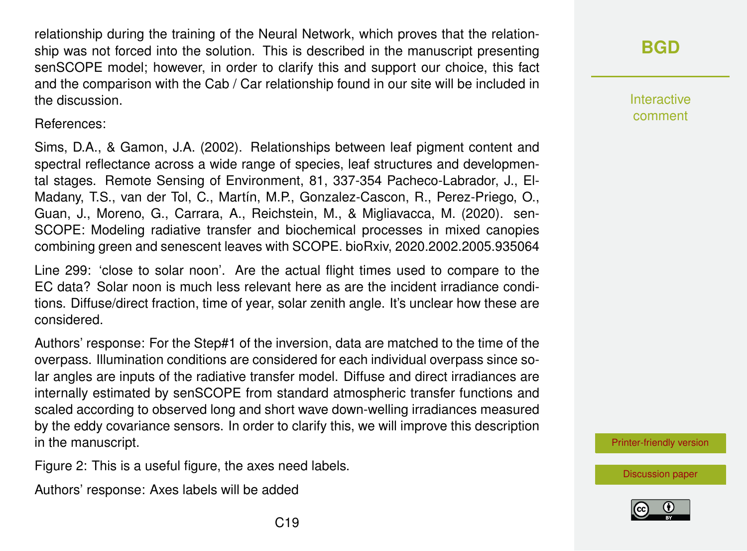relationship during the training of the Neural Network, which proves that the relationship was not forced into the solution. This is described in the manuscript presenting senSCOPE model; however, in order to clarify this and support our choice, this fact and the comparison with the Cab / Car relationship found in our site will be included in the discussion.

References:

Sims, D.A., & Gamon, J.A. (2002). Relationships between leaf pigment content and spectral reflectance across a wide range of species, leaf structures and developmental stages. Remote Sensing of Environment, 81, 337-354 Pacheco-Labrador, J., El-Madany, T.S., van der Tol, C., Martín, M.P., Gonzalez-Cascon, R., Perez-Priego, O., Guan, J., Moreno, G., Carrara, A., Reichstein, M., & Migliavacca, M. (2020). sen-SCOPE: Modeling radiative transfer and biochemical processes in mixed canopies combining green and senescent leaves with SCOPE. bioRxiv, 2020.2002.2005.935064

Line 299: 'close to solar noon'. Are the actual flight times used to compare to the EC data? Solar noon is much less relevant here as are the incident irradiance conditions. Diffuse/direct fraction, time of year, solar zenith angle. It's unclear how these are considered.

Authors' response: For the Step#1 of the inversion, data are matched to the time of the overpass. Illumination conditions are considered for each individual overpass since solar angles are inputs of the radiative transfer model. Diffuse and direct irradiances are internally estimated by senSCOPE from standard atmospheric transfer functions and scaled according to observed long and short wave down-welling irradiances measured by the eddy covariance sensors. In order to clarify this, we will improve this description in the manuscript.

Figure 2: This is a useful figure, the axes need labels.

Authors' response: Axes labels will be added

# **[BGD](https://www.biogeosciences-discuss.net/)**

Interactive comment

[Printer-friendly version](https://www.biogeosciences-discuss.net/bg-2019-501/bg-2019-501-AC1-print.pdf)



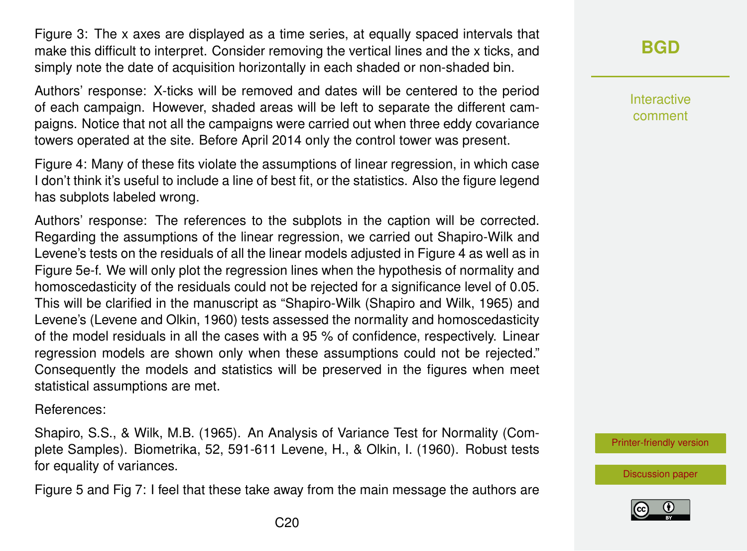Figure 3: The x axes are displayed as a time series, at equally spaced intervals that make this difficult to interpret. Consider removing the vertical lines and the x ticks, and simply note the date of acquisition horizontally in each shaded or non-shaded bin.

Authors' response: X-ticks will be removed and dates will be centered to the period of each campaign. However, shaded areas will be left to separate the different campaigns. Notice that not all the campaigns were carried out when three eddy covariance towers operated at the site. Before April 2014 only the control tower was present.

Figure 4: Many of these fits violate the assumptions of linear regression, in which case I don't think it's useful to include a line of best fit, or the statistics. Also the figure legend has subplots labeled wrong.

Authors' response: The references to the subplots in the caption will be corrected. Regarding the assumptions of the linear regression, we carried out Shapiro-Wilk and Levene's tests on the residuals of all the linear models adjusted in Figure 4 as well as in Figure 5e-f. We will only plot the regression lines when the hypothesis of normality and homoscedasticity of the residuals could not be rejected for a significance level of 0.05. This will be clarified in the manuscript as "Shapiro-Wilk (Shapiro and Wilk, 1965) and Levene's (Levene and Olkin, 1960) tests assessed the normality and homoscedasticity of the model residuals in all the cases with a 95 % of confidence, respectively. Linear regression models are shown only when these assumptions could not be rejected." Consequently the models and statistics will be preserved in the figures when meet statistical assumptions are met.

References:

Shapiro, S.S., & Wilk, M.B. (1965). An Analysis of Variance Test for Normality (Complete Samples). Biometrika, 52, 591-611 Levene, H., & Olkin, I. (1960). Robust tests for equality of variances.

Figure 5 and Fig 7: I feel that these take away from the main message the authors are

Interactive comment

[Printer-friendly version](https://www.biogeosciences-discuss.net/bg-2019-501/bg-2019-501-AC1-print.pdf)

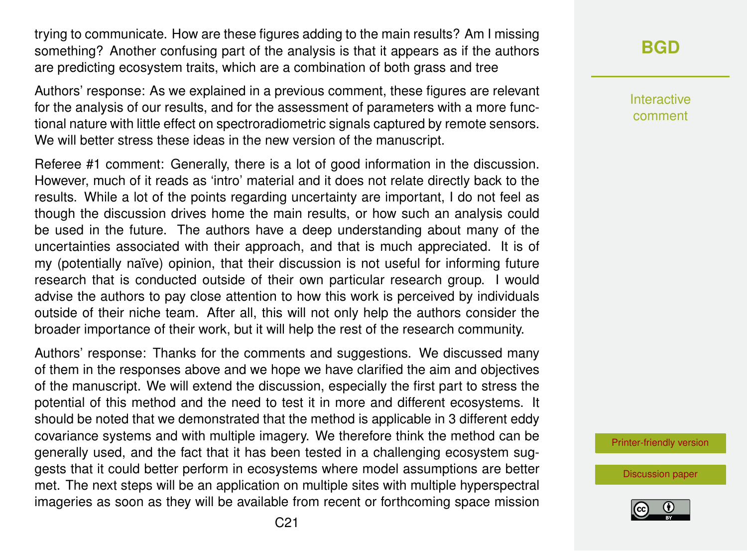trying to communicate. How are these figures adding to the main results? Am I missing something? Another confusing part of the analysis is that it appears as if the authors are predicting ecosystem traits, which are a combination of both grass and tree

Authors' response: As we explained in a previous comment, these figures are relevant for the analysis of our results, and for the assessment of parameters with a more functional nature with little effect on spectroradiometric signals captured by remote sensors. We will better stress these ideas in the new version of the manuscript.

Referee #1 comment: Generally, there is a lot of good information in the discussion. However, much of it reads as 'intro' material and it does not relate directly back to the results. While a lot of the points regarding uncertainty are important, I do not feel as though the discussion drives home the main results, or how such an analysis could be used in the future. The authors have a deep understanding about many of the uncertainties associated with their approach, and that is much appreciated. It is of my (potentially naïve) opinion, that their discussion is not useful for informing future research that is conducted outside of their own particular research group. I would advise the authors to pay close attention to how this work is perceived by individuals outside of their niche team. After all, this will not only help the authors consider the broader importance of their work, but it will help the rest of the research community.

Authors' response: Thanks for the comments and suggestions. We discussed many of them in the responses above and we hope we have clarified the aim and objectives of the manuscript. We will extend the discussion, especially the first part to stress the potential of this method and the need to test it in more and different ecosystems. It should be noted that we demonstrated that the method is applicable in 3 different eddy covariance systems and with multiple imagery. We therefore think the method can be generally used, and the fact that it has been tested in a challenging ecosystem suggests that it could better perform in ecosystems where model assumptions are better met. The next steps will be an application on multiple sites with multiple hyperspectral imageries as soon as they will be available from recent or forthcoming space mission **[BGD](https://www.biogeosciences-discuss.net/)**

Interactive comment

[Printer-friendly version](https://www.biogeosciences-discuss.net/bg-2019-501/bg-2019-501-AC1-print.pdf)